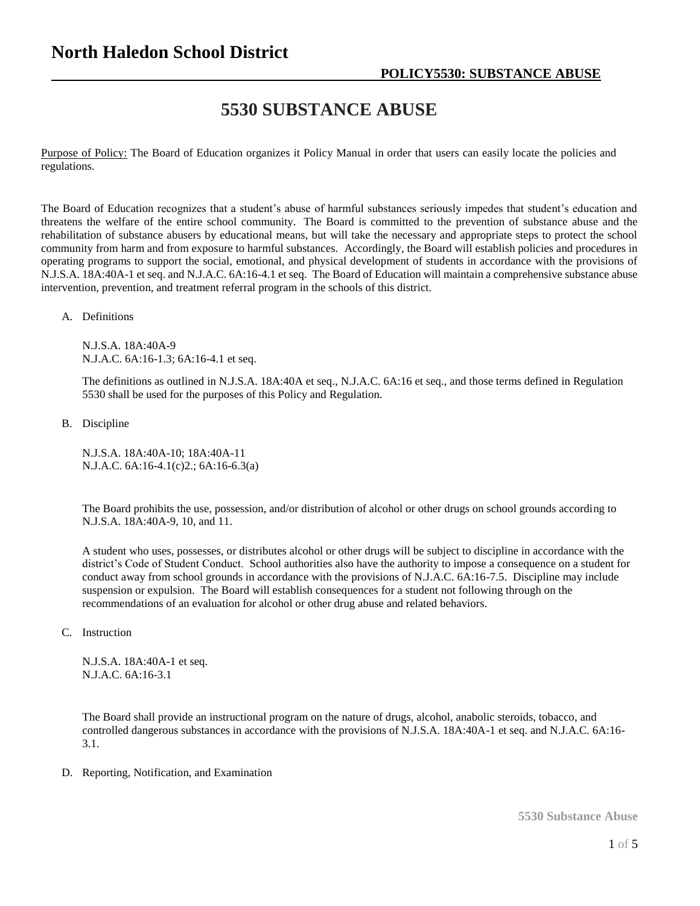# **5530 SUBSTANCE ABUSE**

Purpose of Policy: The Board of Education organizes it Policy Manual in order that users can easily locate the policies and regulations.

The Board of Education recognizes that a student's abuse of harmful substances seriously impedes that student's education and threatens the welfare of the entire school community. The Board is committed to the prevention of substance abuse and the rehabilitation of substance abusers by educational means, but will take the necessary and appropriate steps to protect the school community from harm and from exposure to harmful substances. Accordingly, the Board will establish policies and procedures in operating programs to support the social, emotional, and physical development of students in accordance with the provisions of N.J.S.A. 18A:40A-1 et seq. and N.J.A.C. 6A:16-4.1 et seq. The Board of Education will maintain a comprehensive substance abuse intervention, prevention, and treatment referral program in the schools of this district.

A. Definitions

N.J.S.A. 18A:40A-9 N.J.A.C. 6A:16-1.3; 6A:16-4.1 et seq.

The definitions as outlined in N.J.S.A. 18A:40A et seq., N.J.A.C. 6A:16 et seq., and those terms defined in Regulation 5530 shall be used for the purposes of this Policy and Regulation.

B. Discipline

N.J.S.A. 18A:40A-10; 18A:40A-11 N.J.A.C. 6A:16-4.1(c)2.; 6A:16-6.3(a)

The Board prohibits the use, possession, and/or distribution of alcohol or other drugs on school grounds according to N.J.S.A. 18A:40A-9, 10, and 11.

A student who uses, possesses, or distributes alcohol or other drugs will be subject to discipline in accordance with the district's Code of Student Conduct. School authorities also have the authority to impose a consequence on a student for conduct away from school grounds in accordance with the provisions of N.J.A.C. 6A:16-7.5. Discipline may include suspension or expulsion. The Board will establish consequences for a student not following through on the recommendations of an evaluation for alcohol or other drug abuse and related behaviors.

C. Instruction

N.J.S.A. 18A:40A-1 et seq. N.J.A.C. 6A:16-3.1

The Board shall provide an instructional program on the nature of drugs, alcohol, anabolic steroids, tobacco, and controlled dangerous substances in accordance with the provisions of N.J.S.A. 18A:40A-1 et seq. and N.J.A.C. 6A:16- 3.1.

D. Reporting, Notification, and Examination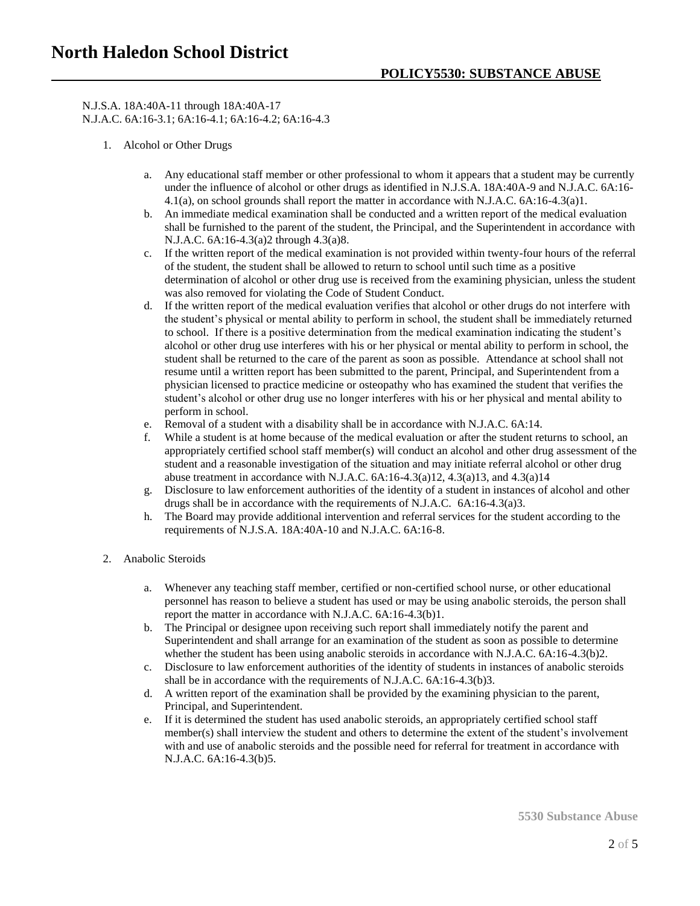N.J.S.A. 18A:40A-11 through 18A:40A-17 N.J.A.C. 6A:16-3.1; 6A:16-4.1; 6A:16-4.2; 6A:16-4.3

- 1. Alcohol or Other Drugs
	- a. Any educational staff member or other professional to whom it appears that a student may be currently under the influence of alcohol or other drugs as identified in N.J.S.A. 18A:40A-9 and N.J.A.C. 6A:16- 4.1(a), on school grounds shall report the matter in accordance with N.J.A.C. 6A:16-4.3(a)1.
	- b. An immediate medical examination shall be conducted and a written report of the medical evaluation shall be furnished to the parent of the student, the Principal, and the Superintendent in accordance with N.J.A.C. 6A:16-4.3(a)2 through 4.3(a)8.
	- c. If the written report of the medical examination is not provided within twenty-four hours of the referral of the student, the student shall be allowed to return to school until such time as a positive determination of alcohol or other drug use is received from the examining physician, unless the student was also removed for violating the Code of Student Conduct.
	- d. If the written report of the medical evaluation verifies that alcohol or other drugs do not interfere with the student's physical or mental ability to perform in school, the student shall be immediately returned to school. If there is a positive determination from the medical examination indicating the student's alcohol or other drug use interferes with his or her physical or mental ability to perform in school, the student shall be returned to the care of the parent as soon as possible. Attendance at school shall not resume until a written report has been submitted to the parent, Principal, and Superintendent from a physician licensed to practice medicine or osteopathy who has examined the student that verifies the student's alcohol or other drug use no longer interferes with his or her physical and mental ability to perform in school.
	- e. Removal of a student with a disability shall be in accordance with N.J.A.C. 6A:14.
	- f. While a student is at home because of the medical evaluation or after the student returns to school, an appropriately certified school staff member(s) will conduct an alcohol and other drug assessment of the student and a reasonable investigation of the situation and may initiate referral alcohol or other drug abuse treatment in accordance with N.J.A.C.  $6A:16-4.3(a)12$ ,  $4.3(a)13$ , and  $4.3(a)14$
	- g. Disclosure to law enforcement authorities of the identity of a student in instances of alcohol and other drugs shall be in accordance with the requirements of N.J.A.C. 6A:16-4.3(a)3.
	- h. The Board may provide additional intervention and referral services for the student according to the requirements of N.J.S.A. 18A:40A-10 and N.J.A.C. 6A:16-8.
- 2. Anabolic Steroids
	- a. Whenever any teaching staff member, certified or non-certified school nurse, or other educational personnel has reason to believe a student has used or may be using anabolic steroids, the person shall report the matter in accordance with N.J.A.C. 6A:16-4.3(b)1.
	- b. The Principal or designee upon receiving such report shall immediately notify the parent and Superintendent and shall arrange for an examination of the student as soon as possible to determine whether the student has been using anabolic steroids in accordance with N.J.A.C. 6A:16-4.3(b)2.
	- c. Disclosure to law enforcement authorities of the identity of students in instances of anabolic steroids shall be in accordance with the requirements of N.J.A.C. 6A:16-4.3(b)3.
	- d. A written report of the examination shall be provided by the examining physician to the parent, Principal, and Superintendent.
	- e. If it is determined the student has used anabolic steroids, an appropriately certified school staff member(s) shall interview the student and others to determine the extent of the student's involvement with and use of anabolic steroids and the possible need for referral for treatment in accordance with N.J.A.C. 6A:16-4.3(b)5.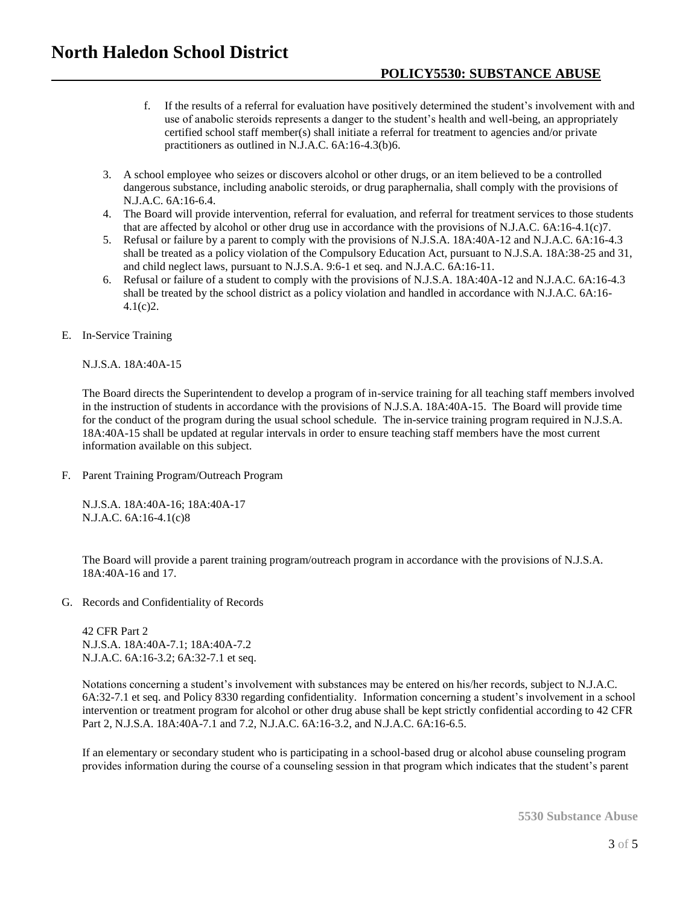- f. If the results of a referral for evaluation have positively determined the student's involvement with and use of anabolic steroids represents a danger to the student's health and well-being, an appropriately certified school staff member(s) shall initiate a referral for treatment to agencies and/or private practitioners as outlined in N.J.A.C. 6A:16-4.3(b)6.
- 3. A school employee who seizes or discovers alcohol or other drugs, or an item believed to be a controlled dangerous substance, including anabolic steroids, or drug paraphernalia, shall comply with the provisions of N.J.A.C. 6A:16-6.4.
- 4. The Board will provide intervention, referral for evaluation, and referral for treatment services to those students that are affected by alcohol or other drug use in accordance with the provisions of N.J.A.C. 6A:16-4.1(c)7.
- 5. Refusal or failure by a parent to comply with the provisions of N.J.S.A. 18A:40A-12 and N.J.A.C. 6A:16-4.3 shall be treated as a policy violation of the Compulsory Education Act, pursuant to N.J.S.A. 18A:38-25 and 31, and child neglect laws, pursuant to N.J.S.A. 9:6-1 et seq. and N.J.A.C. 6A:16-11.
- 6. Refusal or failure of a student to comply with the provisions of N.J.S.A. 18A:40A-12 and N.J.A.C. 6A:16-4.3 shall be treated by the school district as a policy violation and handled in accordance with N.J.A.C. 6A:16- 4.1(c)2.
- E. In-Service Training

#### N.J.S.A. 18A:40A-15

The Board directs the Superintendent to develop a program of in-service training for all teaching staff members involved in the instruction of students in accordance with the provisions of N.J.S.A. 18A:40A-15. The Board will provide time for the conduct of the program during the usual school schedule. The in-service training program required in N.J.S.A. 18A:40A-15 shall be updated at regular intervals in order to ensure teaching staff members have the most current information available on this subject.

F. Parent Training Program/Outreach Program

N.J.S.A. 18A:40A-16; 18A:40A-17 N.J.A.C. 6A:16-4.1(c)8

The Board will provide a parent training program/outreach program in accordance with the provisions of N.J.S.A. 18A:40A-16 and 17.

G. Records and Confidentiality of Records

42 CFR Part 2 N.J.S.A. 18A:40A-7.1; 18A:40A-7.2 N.J.A.C. 6A:16-3.2; 6A:32-7.1 et seq.

Notations concerning a student's involvement with substances may be entered on his/her records, subject to N.J.A.C. 6A:32-7.1 et seq. and Policy 8330 regarding confidentiality. Information concerning a student's involvement in a school intervention or treatment program for alcohol or other drug abuse shall be kept strictly confidential according to 42 CFR Part 2, N.J.S.A. 18A:40A-7.1 and 7.2, N.J.A.C. 6A:16-3.2, and N.J.A.C. 6A:16-6.5.

If an elementary or secondary student who is participating in a school-based drug or alcohol abuse counseling program provides information during the course of a counseling session in that program which indicates that the student's parent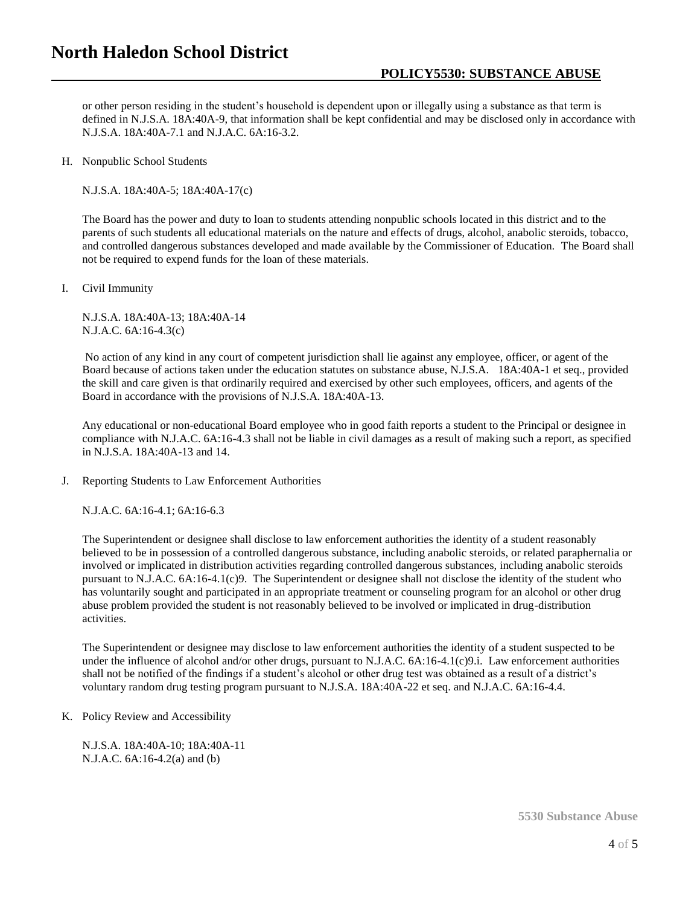### **North Haledon School District**

### **POLICY5530: SUBSTANCE ABUSE**

or other person residing in the student's household is dependent upon or illegally using a substance as that term is defined in N.J.S.A. 18A:40A-9, that information shall be kept confidential and may be disclosed only in accordance with N.J.S.A. 18A:40A-7.1 and N.J.A.C. 6A:16-3.2.

H. Nonpublic School Students

N.J.S.A. 18A:40A-5; 18A:40A-17(c)

The Board has the power and duty to loan to students attending nonpublic schools located in this district and to the parents of such students all educational materials on the nature and effects of drugs, alcohol, anabolic steroids, tobacco, and controlled dangerous substances developed and made available by the Commissioner of Education. The Board shall not be required to expend funds for the loan of these materials.

I. Civil Immunity

N.J.S.A. 18A:40A-13; 18A:40A-14 N.J.A.C. 6A:16-4.3(c)

No action of any kind in any court of competent jurisdiction shall lie against any employee, officer, or agent of the Board because of actions taken under the education statutes on substance abuse, N.J.S.A. 18A:40A-1 et seq., provided the skill and care given is that ordinarily required and exercised by other such employees, officers, and agents of the Board in accordance with the provisions of N.J.S.A. 18A:40A-13.

Any educational or non-educational Board employee who in good faith reports a student to the Principal or designee in compliance with N.J.A.C. 6A:16-4.3 shall not be liable in civil damages as a result of making such a report, as specified in N.J.S.A. 18A:40A-13 and 14.

J. Reporting Students to Law Enforcement Authorities

N.J.A.C. 6A:16-4.1; 6A:16-6.3

The Superintendent or designee shall disclose to law enforcement authorities the identity of a student reasonably believed to be in possession of a controlled dangerous substance, including anabolic steroids, or related paraphernalia or involved or implicated in distribution activities regarding controlled dangerous substances, including anabolic steroids pursuant to N.J.A.C. 6A:16-4.1(c)9. The Superintendent or designee shall not disclose the identity of the student who has voluntarily sought and participated in an appropriate treatment or counseling program for an alcohol or other drug abuse problem provided the student is not reasonably believed to be involved or implicated in drug-distribution activities.

The Superintendent or designee may disclose to law enforcement authorities the identity of a student suspected to be under the influence of alcohol and/or other drugs, pursuant to N.J.A.C. 6A:16-4.1(c)9.i. Law enforcement authorities shall not be notified of the findings if a student's alcohol or other drug test was obtained as a result of a district's voluntary random drug testing program pursuant to N.J.S.A. 18A:40A-22 et seq. and N.J.A.C. 6A:16-4.4.

K. Policy Review and Accessibility

N.J.S.A. 18A:40A-10; 18A:40A-11 N.J.A.C. 6A:16-4.2(a) and (b)